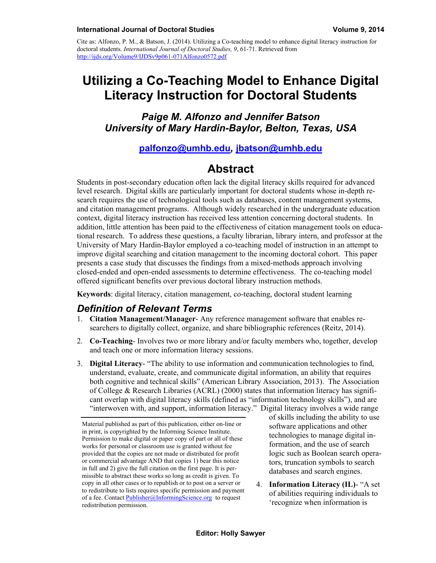Cite as: Alfonzo, P. M., & Batson, J. (2014). Utilizing a Co-teaching model to enhance digital literacy instruction for doctoral students. *International Journal of Doctoral Studies, 9*, 61-71. Retrieved from http://ijds.org/Volume9/IJDSv9p061-071Alfonzo0572.pdf

# **Utilizing a Co-Teaching Model to Enhance Digital Literacy Instruction for Doctoral Students**

*Paige M. Alfonzo and Jennifer Batson University of Mary Hardin-Baylor, Belton, Texas, USA* 

#### **[palfonzo@umhb.edu](mailto:palfonzo@umhb.edu)***,* **[jbatson@umhb.edu](mailto:jbatson@umhb.edu)**

## **Abstract**

Students in post-secondary education often lack the digital literacy skills required for advanced level research. Digital skills are particularly important for doctoral students whose in-depth research requires the use of technological tools such as databases, content management systems, and citation management programs. Although widely researched in the undergraduate education context, digital literacy instruction has received less attention concerning doctoral students. In addition, little attention has been paid to the effectiveness of citation management tools on educational research. To address these questions, a faculty librarian, library intern, and professor at the University of Mary Hardin-Baylor employed a co-teaching model of instruction in an attempt to improve digital searching and citation management to the incoming doctoral cohort. This paper presents a case study that discusses the findings from a mixed-methods approach involving closed-ended and open-ended assessments to determine effectiveness. The co-teaching model offered significant benefits over previous doctoral library instruction methods.

**Keywords**: digital literacy, citation management, co-teaching, doctoral student learning

#### *Definition of Relevant Terms*

- 1. **Citation Management/Manager** Any reference management software that enables researchers to digitally collect, organize, and share bibliographic references (Reitz, 2014).
- 2. **Co-Teaching** Involves two or more library and/or faculty members who, together, develop and teach one or more information literacy sessions.
- 3. **Digital Literacy** "The ability to use information and communication technologies to find, understand, evaluate, create, and communicate digital information, an ability that requires both cognitive and technical skills" (American Library Association, 2013). The Association of College & Research Libraries (ACRL) (2000) states that information literacy has significant overlap with digital literacy skills (defined as "information technology skills"), and are "interwoven with, and support, information literacy." Digital literacy involves a wide range

of skills including the ability to use software applications and other technologies to manage digital information, and the use of search logic such as Boolean search operators, truncation symbols to search databases and search engines.

4. **Information Literacy (IL)**- "A set of abilities requiring individuals to 'recognize when information is

Material published as part of this publication, either on-line or in print, is copyrighted by the Informing Science Institute. Permission to make digital or paper copy of part or all of these works for personal or classroom use is granted without fee provided that the copies are not made or distributed for profit or commercial advantage AND that copies 1) bear this notice in full and 2) give the full citation on the first page. It is permissible to abstract these works so long as credit is given. To copy in all other cases or to republish or to post on a server or to redistribute to lists requires specific permission and payment of a fee. Contact [Publisher@InformingScience.org](mailto:Publisher@InformingScience.org) to request redistribution permission.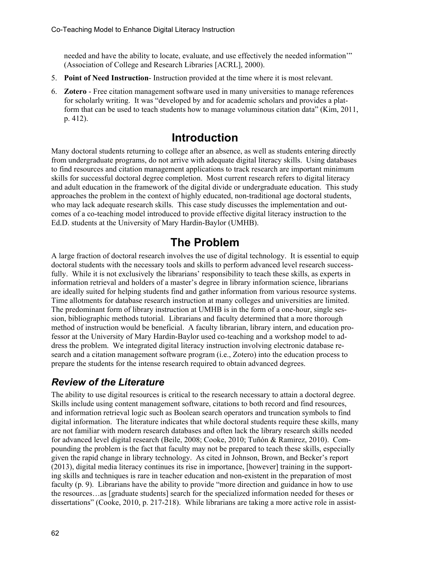needed and have the ability to locate, evaluate, and use effectively the needed information'" (Association of College and Research Libraries [ACRL], 2000).

- 5. **Point of Need Instruction** Instruction provided at the time where it is most relevant.
- 6. **Zotero** Free citation management software used in many universities to manage references for scholarly writing. It was "developed by and for academic scholars and provides a platform that can be used to teach students how to manage voluminous citation data" (Kim, 2011, p. 412).

## **Introduction**

Many doctoral students returning to college after an absence, as well as students entering directly from undergraduate programs, do not arrive with adequate digital literacy skills. Using databases to find resources and citation management applications to track research are important minimum skills for successful doctoral degree completion. Most current research refers to digital literacy and adult education in the framework of the digital divide or undergraduate education. This study approaches the problem in the context of highly educated, non-traditional age doctoral students, who may lack adequate research skills. This case study discusses the implementation and outcomes of a co-teaching model introduced to provide effective digital literacy instruction to the Ed.D. students at the University of Mary Hardin-Baylor (UMHB).

# **The Problem**

A large fraction of doctoral research involves the use of digital technology. It is essential to equip doctoral students with the necessary tools and skills to perform advanced level research successfully. While it is not exclusively the librarians' responsibility to teach these skills, as experts in information retrieval and holders of a master's degree in library information science, librarians are ideally suited for helping students find and gather information from various resource systems. Time allotments for database research instruction at many colleges and universities are limited. The predominant form of library instruction at UMHB is in the form of a one-hour, single session, bibliographic methods tutorial. Librarians and faculty determined that a more thorough method of instruction would be beneficial. A faculty librarian, library intern, and education professor at the University of Mary Hardin-Baylor used co-teaching and a workshop model to address the problem. We integrated digital literacy instruction involving electronic database research and a citation management software program (i.e., Zotero) into the education process to prepare the students for the intense research required to obtain advanced degrees.

## *Review of the Literature*

The ability to use digital resources is critical to the research necessary to attain a doctoral degree. Skills include using content management software, citations to both record and find resources, and information retrieval logic such as Boolean search operators and truncation symbols to find digital information. The literature indicates that while doctoral students require these skills, many are not familiar with modern research databases and often lack the library research skills needed for advanced level digital research (Beile, 2008; Cooke, 2010; Tuñón & Ramirez, 2010). Compounding the problem is the fact that faculty may not be prepared to teach these skills, especially given the rapid change in library technology. As cited in Johnson, Brown, and Becker's report (2013), digital media literacy continues its rise in importance, [however] training in the supporting skills and techniques is rare in teacher education and non-existent in the preparation of most faculty (p. 9). Librarians have the ability to provide "more direction and guidance in how to use the resources…as [graduate students] search for the specialized information needed for theses or dissertations" (Cooke, 2010, p. 217-218). While librarians are taking a more active role in assist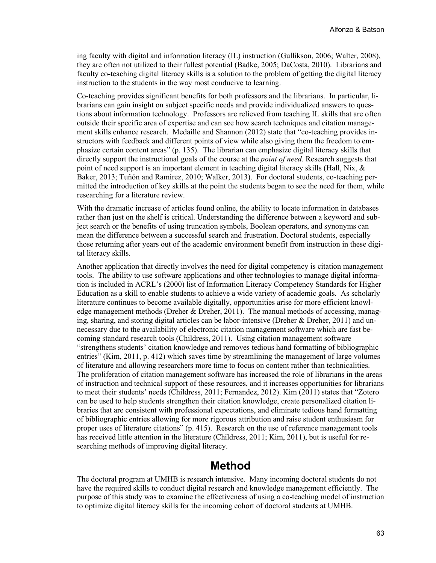ing faculty with digital and information literacy (IL) instruction (Gullikson, 2006; Walter, 2008), they are often not utilized to their fullest potential (Badke, 2005; DaCosta, 2010). Librarians and faculty co-teaching digital literacy skills is a solution to the problem of getting the digital literacy instruction to the students in the way most conducive to learning.

Co-teaching provides significant benefits for both professors and the librarians. In particular, librarians can gain insight on subject specific needs and provide individualized answers to questions about information technology. Professors are relieved from teaching IL skills that are often outside their specific area of expertise and can see how search techniques and citation management skills enhance research. Medaille and Shannon (2012) state that "co-teaching provides instructors with feedback and different points of view while also giving them the freedom to emphasize certain content areas" (p. 135). The librarian can emphasize digital literacy skills that directly support the instructional goals of the course at the *point of need.* Research suggests that point of need support is an important element in teaching digital literacy skills (Hall, Nix,  $\&$ Baker, 2013; Tuñón and Ramirez, 2010; Walker, 2013). For doctoral students, co-teaching permitted the introduction of key skills at the point the students began to see the need for them, while researching for a literature review.

With the dramatic increase of articles found online, the ability to locate information in databases rather than just on the shelf is critical. Understanding the difference between a keyword and subject search or the benefits of using truncation symbols, Boolean operators, and synonyms can mean the difference between a successful search and frustration. Doctoral students, especially those returning after years out of the academic environment benefit from instruction in these digital literacy skills.

Another application that directly involves the need for digital competency is citation management tools. The ability to use software applications and other technologies to manage digital information is included in ACRL's (2000) list of Information Literacy Competency Standards for Higher Education as a skill to enable students to achieve a wide variety of academic goals. As scholarly literature continues to become available digitally, opportunities arise for more efficient knowledge management methods (Dreher & Dreher, 2011). The manual methods of accessing, managing, sharing, and storing digital articles can be labor-intensive (Dreher & Dreher, 2011) and unnecessary due to the availability of electronic citation management software which are fast becoming standard research tools (Childress, 2011). Using citation management software "strengthens students' citation knowledge and removes tedious hand formatting of bibliographic entries" (Kim, 2011, p. 412) which saves time by streamlining the management of large volumes of literature and allowing researchers more time to focus on content rather than technicalities. The proliferation of citation management software has increased the role of librarians in the areas of instruction and technical support of these resources, and it increases opportunities for librarians to meet their students' needs (Childress, 2011; Fernandez, 2012). Kim (2011) states that "Zotero can be used to help students strengthen their citation knowledge, create personalized citation libraries that are consistent with professional expectations, and eliminate tedious hand formatting of bibliographic entries allowing for more rigorous attribution and raise student enthusiasm for proper uses of literature citations" (p. 415). Research on the use of reference management tools has received little attention in the literature (Childress, 2011; Kim, 2011), but is useful for researching methods of improving digital literacy.

#### **Method**

The doctoral program at UMHB is research intensive. Many incoming doctoral students do not have the required skills to conduct digital research and knowledge management efficiently. The purpose of this study was to examine the effectiveness of using a co-teaching model of instruction to optimize digital literacy skills for the incoming cohort of doctoral students at UMHB.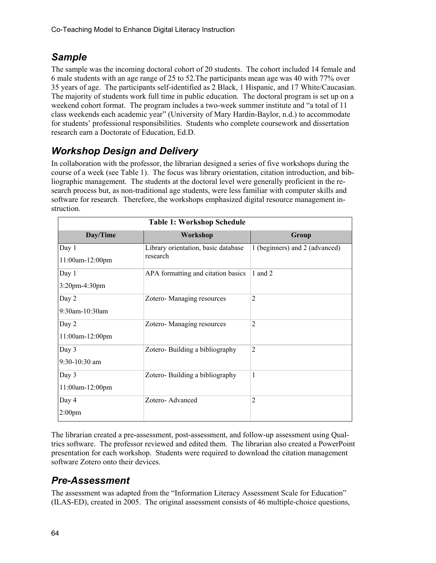## *Sample*

The sample was the incoming doctoral cohort of 20 students. The cohort included 14 female and 6 male students with an age range of 25 to 52.The participants mean age was 40 with 77% over 35 years of age. The participants self-identified as 2 Black, 1 Hispanic, and 17 White/Caucasian. The majority of students work full time in public education. The doctoral program is set up on a weekend cohort format. The program includes a two-week summer institute and "a total of 11 class weekends each academic year" (University of Mary Hardin-Baylor, n.d.) to accommodate for students' professional responsibilities. Students who complete coursework and dissertation research earn a Doctorate of Education, Ed.D.

## *Workshop Design and Delivery*

In collaboration with the professor, the librarian designed a series of five workshops during the course of a week (see Table 1). The focus was library orientation, citation introduction, and bibliographic management. The students at the doctoral level were generally proficient in the research process but, as non-traditional age students, were less familiar with computer skills and software for research. Therefore, the workshops emphasized digital resource management instruction.

| <b>Table 1: Workshop Schedule</b> |                                                 |                                |  |  |  |  |  |  |
|-----------------------------------|-------------------------------------------------|--------------------------------|--|--|--|--|--|--|
| Day/Time                          | Workshop                                        | Group                          |  |  |  |  |  |  |
| Day 1<br>11:00am-12:00pm          | Library orientation, basic database<br>research | 1 (beginners) and 2 (advanced) |  |  |  |  |  |  |
| Day 1<br>3:20pm-4:30pm            | APA formatting and citation basics              | 1 and $2$                      |  |  |  |  |  |  |
| Day 2<br>9:30am-10:30am           | Zotero-Managing resources                       | $\overline{2}$                 |  |  |  |  |  |  |
| Day 2<br>11:00am-12:00pm          | Zotero-Managing resources                       | 2                              |  |  |  |  |  |  |
| Day 3<br>9:30-10:30 am            | Zotero-Building a bibliography                  | 2                              |  |  |  |  |  |  |
| Day 3<br>11:00am-12:00pm          | Zotero-Building a bibliography                  | 1                              |  |  |  |  |  |  |
| Day 4<br>$2:00$ pm                | Zotero-Advanced                                 | 2                              |  |  |  |  |  |  |

The librarian created a pre-assessment, post-assessment, and follow-up assessment using Qualtrics software. The professor reviewed and edited them. The librarian also created a PowerPoint presentation for each workshop. Students were required to download the citation management software Zotero onto their devices.

## *Pre-Assessment*

The assessment was adapted from the "Information Literacy Assessment Scale for Education" (ILAS-ED), created in 2005. The original assessment consists of 46 multiple-choice questions,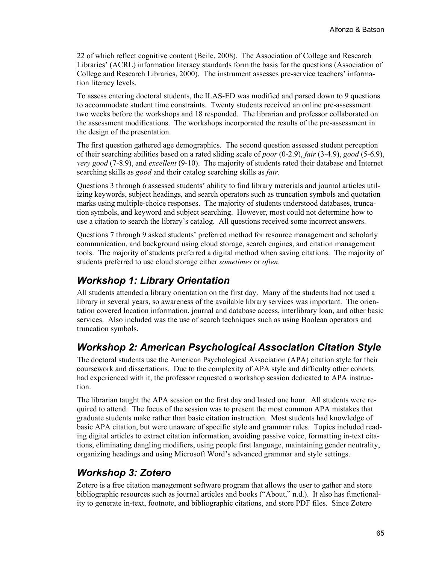22 of which reflect cognitive content (Beile, 2008). The Association of College and Research Libraries' (ACRL) information literacy standards form the basis for the questions (Association of College and Research Libraries, 2000). The instrument assesses pre-service teachers' information literacy levels.

To assess entering doctoral students, the ILAS-ED was modified and parsed down to 9 questions to accommodate student time constraints. Twenty students received an online pre-assessment two weeks before the workshops and 18 responded. The librarian and professor collaborated on the assessment modifications. The workshops incorporated the results of the pre-assessment in the design of the presentation.

The first question gathered age demographics. The second question assessed student perception of their searching abilities based on a rated sliding scale of *poor* (0-2.9), *fair* (3-4.9), *good* (5-6.9), *very good* (7-8.9), and *excellent* (9-10). The majority of students rated their database and Internet searching skills as *good* and their catalog searching skills as *fair*.

Questions 3 through 6 assessed students' ability to find library materials and journal articles utilizing keywords, subject headings, and search operators such as truncation symbols and quotation marks using multiple-choice responses. The majority of students understood databases, truncation symbols, and keyword and subject searching. However, most could not determine how to use a citation to search the library's catalog. All questions received some incorrect answers.

Questions 7 through 9 asked students' preferred method for resource management and scholarly communication, and background using cloud storage, search engines, and citation management tools. The majority of students preferred a digital method when saving citations. The majority of students preferred to use cloud storage either *sometimes* or *often*.

#### *Workshop 1: Library Orientation*

All students attended a library orientation on the first day. Many of the students had not used a library in several years, so awareness of the available library services was important. The orientation covered location information, journal and database access, interlibrary loan, and other basic services. Also included was the use of search techniques such as using Boolean operators and truncation symbols.

## *Workshop 2: American Psychological Association Citation Style*

The doctoral students use the American Psychological Association (APA) citation style for their coursework and dissertations. Due to the complexity of APA style and difficulty other cohorts had experienced with it, the professor requested a workshop session dedicated to APA instruction.

The librarian taught the APA session on the first day and lasted one hour. All students were required to attend. The focus of the session was to present the most common APA mistakes that graduate students make rather than basic citation instruction. Most students had knowledge of basic APA citation, but were unaware of specific style and grammar rules. Topics included reading digital articles to extract citation information, avoiding passive voice, formatting in-text citations, eliminating dangling modifiers, using people first language, maintaining gender neutrality, organizing headings and using Microsoft Word's advanced grammar and style settings.

## *Workshop 3: Zotero*

Zotero is a free citation management software program that allows the user to gather and store bibliographic resources such as journal articles and books ("About," n.d.). It also has functionality to generate in-text, footnote, and bibliographic citations, and store PDF files. Since Zotero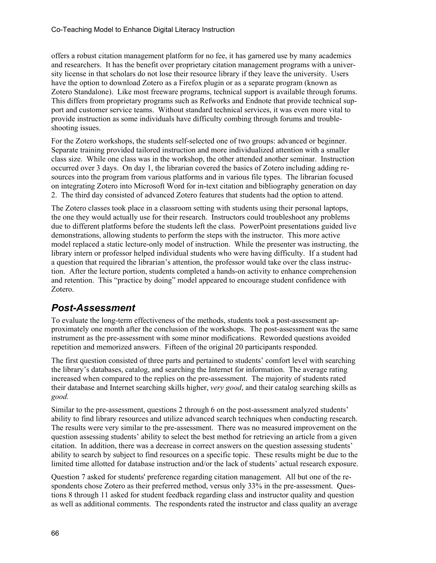offers a robust citation management platform for no fee, it has garnered use by many academics and researchers. It has the benefit over proprietary citation management programs with a university license in that scholars do not lose their resource library if they leave the university. Users have the option to download Zotero as a Firefox plugin or as a separate program (known as Zotero Standalone). Like most freeware programs, technical support is available through forums. This differs from proprietary programs such as Refworks and Endnote that provide technical support and customer service teams. Without standard technical services, it was even more vital to provide instruction as some individuals have difficulty combing through forums and troubleshooting issues.

For the Zotero workshops, the students self-selected one of two groups: advanced or beginner. Separate training provided tailored instruction and more individualized attention with a smaller class size. While one class was in the workshop, the other attended another seminar. Instruction occurred over 3 days. On day 1, the librarian covered the basics of Zotero including adding resources into the program from various platforms and in various file types. The librarian focused on integrating Zotero into Microsoft Word for in-text citation and bibliography generation on day 2. The third day consisted of advanced Zotero features that students had the option to attend.

The Zotero classes took place in a classroom setting with students using their personal laptops, the one they would actually use for their research. Instructors could troubleshoot any problems due to different platforms before the students left the class. PowerPoint presentations guided live demonstrations, allowing students to perform the steps with the instructor. This more active model replaced a static lecture-only model of instruction. While the presenter was instructing, the library intern or professor helped individual students who were having difficulty. If a student had a question that required the librarian's attention, the professor would take over the class instruction. After the lecture portion, students completed a hands-on activity to enhance comprehension and retention. This "practice by doing" model appeared to encourage student confidence with Zotero.

## *Post-Assessment*

To evaluate the long-term effectiveness of the methods, students took a post-assessment approximately one month after the conclusion of the workshops. The post-assessment was the same instrument as the pre-assessment with some minor modifications. Reworded questions avoided repetition and memorized answers. Fifteen of the original 20 participants responded.

The first question consisted of three parts and pertained to students' comfort level with searching the library's databases, catalog, and searching the Internet for information. The average rating increased when compared to the replies on the pre-assessment. The majority of students rated their database and Internet searching skills higher, *very good*, and their catalog searching skills as *good.* 

Similar to the pre-assessment, questions 2 through 6 on the post-assessment analyzed students' ability to find library resources and utilize advanced search techniques when conducting research. The results were very similar to the pre-assessment. There was no measured improvement on the question assessing students' ability to select the best method for retrieving an article from a given citation. In addition, there was a decrease in correct answers on the question assessing students' ability to search by subject to find resources on a specific topic. These results might be due to the limited time allotted for database instruction and/or the lack of students' actual research exposure.

Question 7 asked for students' preference regarding citation management. All but one of the respondents chose Zotero as their preferred method, versus only 33% in the pre-assessment. Questions 8 through 11 asked for student feedback regarding class and instructor quality and question as well as additional comments. The respondents rated the instructor and class quality an average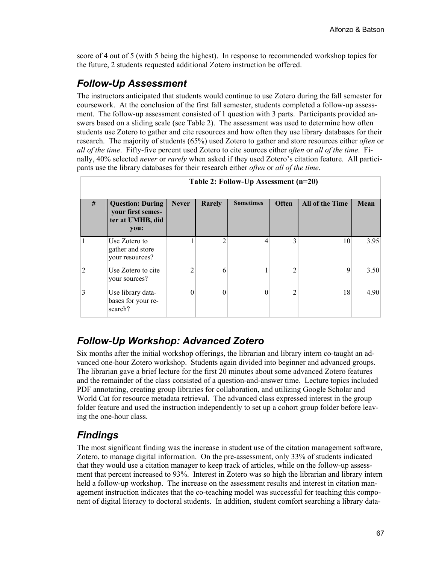score of 4 out of 5 (with 5 being the highest). In response to recommended workshop topics for the future, 2 students requested additional Zotero instruction be offered.

## *Follow-Up Assessment*

The instructors anticipated that students would continue to use Zotero during the fall semester for coursework. At the conclusion of the first fall semester, students completed a follow-up assessment. The follow-up assessment consisted of 1 question with 3 parts. Participants provided answers based on a sliding scale (see Table 2). The assessment was used to determine how often students use Zotero to gather and cite resources and how often they use library databases for their research. The majority of students (65%) used Zotero to gather and store resources either *often* or *all of the time*. Fifty-five percent used Zotero to cite sources either *often* or *all of the time*. Finally, 40% selected *never* or *rarely* when asked if they used Zotero's citation feature. All participants use the library databases for their research either *often* or *all of the time*.

| #              | <b>Question: During</b><br>your first semes-<br>ter at UMHB, did<br>you: | <b>Never</b> | Rarely | <b>Sometimes</b> | Often          | <b>All of the Time</b> | Mean |
|----------------|--------------------------------------------------------------------------|--------------|--------|------------------|----------------|------------------------|------|
|                | Use Zotero to<br>gather and store<br>your resources?                     |              | C      | 4                | 3              | 10                     | 3.95 |
| $\mathfrak{D}$ | Use Zotero to cite<br>your sources?                                      | 2            | 6      |                  | $\overline{2}$ | 9                      | 3.50 |
| 3              | Use library data-<br>bases for your re-<br>search?                       | $\theta$     | 0      | $\theta$         | $\overline{2}$ | 18                     | 4.90 |

#### **Table 2: Follow-Up Assessment (n=20)**

## *Follow-Up Workshop: Advanced Zotero*

Six months after the initial workshop offerings, the librarian and library intern co-taught an advanced one-hour Zotero workshop. Students again divided into beginner and advanced groups. The librarian gave a brief lecture for the first 20 minutes about some advanced Zotero features and the remainder of the class consisted of a question-and-answer time. Lecture topics included PDF annotating, creating group libraries for collaboration, and utilizing Google Scholar and World Cat for resource metadata retrieval. The advanced class expressed interest in the group folder feature and used the instruction independently to set up a cohort group folder before leaving the one-hour class.

#### *Findings*

The most significant finding was the increase in student use of the citation management software, Zotero, to manage digital information. On the pre-assessment, only 33% of students indicated that they would use a citation manager to keep track of articles, while on the follow-up assessment that percent increased to 93%. Interest in Zotero was so high the librarian and library intern held a follow-up workshop. The increase on the assessment results and interest in citation management instruction indicates that the co-teaching model was successful for teaching this component of digital literacy to doctoral students. In addition, student comfort searching a library data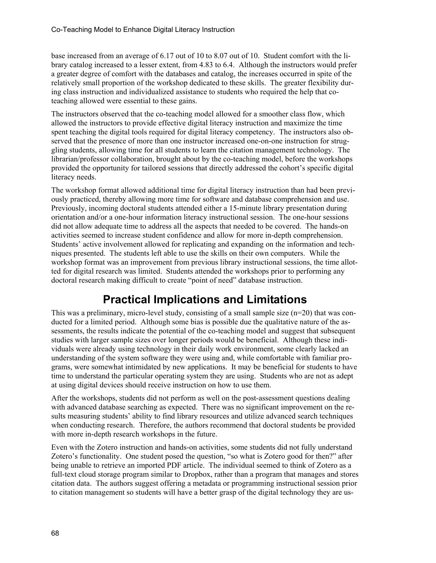base increased from an average of 6.17 out of 10 to 8.07 out of 10. Student comfort with the library catalog increased to a lesser extent, from 4.83 to 6.4. Although the instructors would prefer a greater degree of comfort with the databases and catalog, the increases occurred in spite of the relatively small proportion of the workshop dedicated to these skills. The greater flexibility during class instruction and individualized assistance to students who required the help that coteaching allowed were essential to these gains.

The instructors observed that the co-teaching model allowed for a smoother class flow, which allowed the instructors to provide effective digital literacy instruction and maximize the time spent teaching the digital tools required for digital literacy competency. The instructors also observed that the presence of more than one instructor increased one-on-one instruction for struggling students, allowing time for all students to learn the citation management technology. The librarian/professor collaboration, brought about by the co-teaching model, before the workshops provided the opportunity for tailored sessions that directly addressed the cohort's specific digital literacy needs.

The workshop format allowed additional time for digital literacy instruction than had been previously practiced, thereby allowing more time for software and database comprehension and use. Previously, incoming doctoral students attended either a 15-minute library presentation during orientation and/or a one-hour information literacy instructional session. The one-hour sessions did not allow adequate time to address all the aspects that needed to be covered. The hands-on activities seemed to increase student confidence and allow for more in-depth comprehension. Students' active involvement allowed for replicating and expanding on the information and techniques presented. The students left able to use the skills on their own computers. While the workshop format was an improvement from previous library instructional sessions, the time allotted for digital research was limited. Students attended the workshops prior to performing any doctoral research making difficult to create "point of need" database instruction.

# **Practical Implications and Limitations**

This was a preliminary, micro-level study, consisting of a small sample size  $(n=20)$  that was conducted for a limited period. Although some bias is possible due the qualitative nature of the assessments, the results indicate the potential of the co-teaching model and suggest that subsequent studies with larger sample sizes over longer periods would be beneficial. Although these individuals were already using technology in their daily work environment, some clearly lacked an understanding of the system software they were using and, while comfortable with familiar programs, were somewhat intimidated by new applications. It may be beneficial for students to have time to understand the particular operating system they are using. Students who are not as adept at using digital devices should receive instruction on how to use them.

After the workshops, students did not perform as well on the post-assessment questions dealing with advanced database searching as expected. There was no significant improvement on the results measuring students' ability to find library resources and utilize advanced search techniques when conducting research. Therefore, the authors recommend that doctoral students be provided with more in-depth research workshops in the future.

Even with the Zotero instruction and hands-on activities, some students did not fully understand Zotero's functionality. One student posed the question, "so what is Zotero good for then?" after being unable to retrieve an imported PDF article. The individual seemed to think of Zotero as a full-text cloud storage program similar to Dropbox, rather than a program that manages and stores citation data. The authors suggest offering a metadata or programming instructional session prior to citation management so students will have a better grasp of the digital technology they are us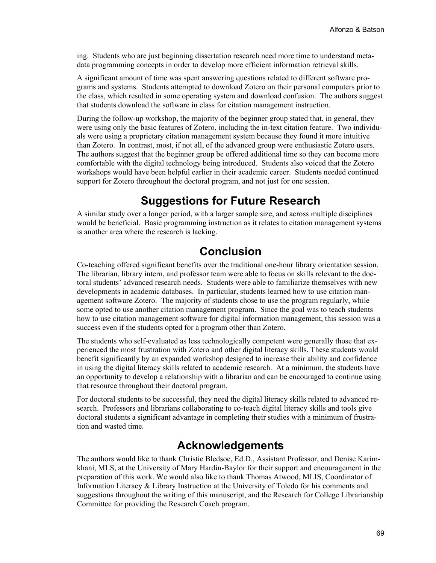ing. Students who are just beginning dissertation research need more time to understand metadata programming concepts in order to develop more efficient information retrieval skills.

A significant amount of time was spent answering questions related to different software programs and systems. Students attempted to download Zotero on their personal computers prior to the class, which resulted in some operating system and download confusion. The authors suggest that students download the software in class for citation management instruction.

During the follow-up workshop, the majority of the beginner group stated that, in general, they were using only the basic features of Zotero, including the in-text citation feature. Two individuals were using a proprietary citation management system because they found it more intuitive than Zotero. In contrast, most, if not all, of the advanced group were enthusiastic Zotero users. The authors suggest that the beginner group be offered additional time so they can become more comfortable with the digital technology being introduced. Students also voiced that the Zotero workshops would have been helpful earlier in their academic career. Students needed continued support for Zotero throughout the doctoral program, and not just for one session.

## **Suggestions for Future Research**

A similar study over a longer period, with a larger sample size, and across multiple disciplines would be beneficial. Basic programming instruction as it relates to citation management systems is another area where the research is lacking.

## **Conclusion**

Co-teaching offered significant benefits over the traditional one-hour library orientation session. The librarian, library intern, and professor team were able to focus on skills relevant to the doctoral students' advanced research needs. Students were able to familiarize themselves with new developments in academic databases. In particular, students learned how to use citation management software Zotero. The majority of students chose to use the program regularly, while some opted to use another citation management program. Since the goal was to teach students how to use citation management software for digital information management, this session was a success even if the students opted for a program other than Zotero.

The students who self-evaluated as less technologically competent were generally those that experienced the most frustration with Zotero and other digital literacy skills. These students would benefit significantly by an expanded workshop designed to increase their ability and confidence in using the digital literacy skills related to academic research. At a minimum, the students have an opportunity to develop a relationship with a librarian and can be encouraged to continue using that resource throughout their doctoral program.

For doctoral students to be successful, they need the digital literacy skills related to advanced research. Professors and librarians collaborating to co-teach digital literacy skills and tools give doctoral students a significant advantage in completing their studies with a minimum of frustration and wasted time.

## **Acknowledgements**

The authors would like to thank Christie Bledsoe, Ed.D., Assistant Professor, and Denise Karimkhani, MLS, at the University of Mary Hardin-Baylor for their support and encouragement in the preparation of this work. We would also like to thank Thomas Atwood, MLIS, Coordinator of Information Literacy & Library Instruction at the University of Toledo for his comments and suggestions throughout the writing of this manuscript, and the Research for College Librarianship Committee for providing the Research Coach program.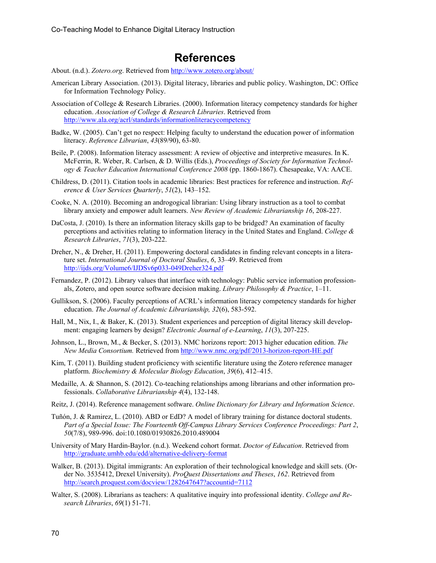## **References**

About. (n.d.). *Zotero.org*. Retrieved from http://www.zotero.org/about/

- American Library Association. (2013). Digital literacy, libraries and public policy. Washington, DC: Office for Information Technology Policy.
- Association of College & Research Libraries. (2000). Information literacy competency standards for higher education. *Association of College & Research Libraries*. Retrieved from <http://www.ala.org/acrl/standards/informationliteracycompetency>
- Badke, W. (2005). Can't get no respect: Helping faculty to understand the education power of information literacy. *Reference Librarian*, *43*(89/90), 63-80.
- Beile, P. (2008). Information literacy assessment: A review of objective and interpretive measures. In K. McFerrin, R. Weber, R. Carlsen, & D. Willis (Eds.), *Proceedings of Society for Information Technology & Teacher Education International Conference 2008* (pp. 1860-1867). Chesapeake, VA: AACE.
- Childress, D. (2011). Citation tools in academic libraries: Best practices for reference and instruction. *Reference & User Services Quarterly*, *51*(2), 143–152.
- Cooke, N. A. (2010). Becoming an androgogical librarian: Using library instruction as a tool to combat library anxiety and empower adult learners. *New Review of Academic Librarianship 16*, 208-227.
- DaCosta, J. (2010). Is there an information literacy skills gap to be bridged? An examination of faculty perceptions and activities relating to information literacy in the United States and England. *College & Research Libraries*, *71*(3), 203-222.
- Dreher, N., & Dreher, H. (2011). Empowering doctoral candidates in finding relevant concepts in a literature set. *International Journal of Doctoral Studies*, *6*, 33–49. Retrieved from <http://ijds.org/Volume6/IJDSv6p033-049Dreher324.pdf>
- Fernandez, P. (2012). Library values that interface with technology: Public service information professionals, Zotero, and open source software decision making. *Library Philosophy & Practice*, 1–11.
- Gullikson, S. (2006). Faculty perceptions of ACRL's information literacy competency standards for higher education. *The Journal of Academic Librarianship, 32*(6), 583-592.
- Hall, M., Nix, I., & Baker, K. (2013). Student experiences and perception of digital literacy skill development: engaging learners by design? *Electronic Journal of e-Learning*, *11*(3), 207-225.
- Johnson, L., Brown, M., & Becker, S. (2013). NMC horizons report: 2013 higher education edition. *The New Media Consortium.* Retrieved from <http://www.nmc.org/pdf/2013-horizon-report-HE.pdf>
- Kim, T. (2011). Building student proficiency with scientific literature using the Zotero reference manager platform. *Biochemistry & Molecular Biology Education*, *39*(6), 412–415.
- Medaille, A. & Shannon, S. (2012). Co-teaching relationships among librarians and other information professionals. *Collaborative Librarianship 4*(4), 132-148.
- Reitz, J. (2014). Reference management software. *Online Dictionary for Library and Information Science*.
- Tuñón, J. & Ramirez, L. (2010). ABD or EdD? A model of library training for distance doctoral students. *Part of a Special Issue: The Fourteenth Off-Campus Library Services Conference Proceedings: Part 2*, *50*(7/8), 989-996. doi:10.1080/01930826.2010.489004
- University of Mary Hardin-Baylor. (n.d.). Weekend cohort format. *Doctor of Education*. Retrieved from <http://graduate.umhb.edu/edd/alternative-delivery-format>
- Walker, B. (2013). Digital immigrants: An exploration of their technological knowledge and skill sets. (Order No. 3535412, Drexel University). *ProQuest Dissertations and Theses*, *162*. Retrieved from <http://search.proquest.com/docview/1282647647?accountid=7112>
- Walter, S. (2008). Librarians as teachers: A qualitative inquiry into professional identity. *College and Research Libraries*, *69*(1) 51-71.